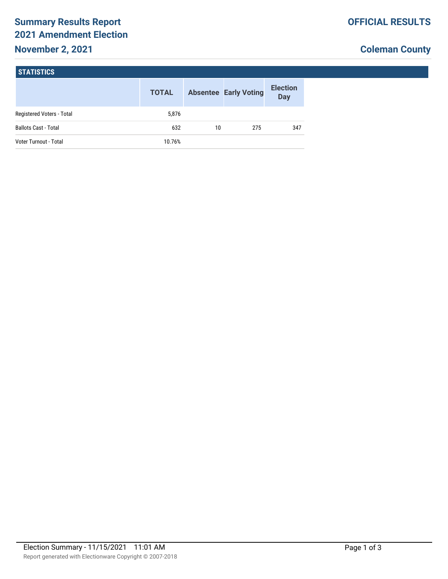# **Summary Results Report 2021 Amendment Election**

## **November 2, 2021**

## **Coleman County**

| I STATISTICS' |
|---------------|
|---------------|

|                             | <b>TOTAL</b> |    | <b>Absentee Early Voting</b> | <b>Election</b><br><b>Day</b> |
|-----------------------------|--------------|----|------------------------------|-------------------------------|
| Registered Voters - Total   | 5,876        |    |                              |                               |
| <b>Ballots Cast - Total</b> | 632          | 10 | 275                          | 347                           |
| Voter Turnout - Total       | 10.76%       |    |                              |                               |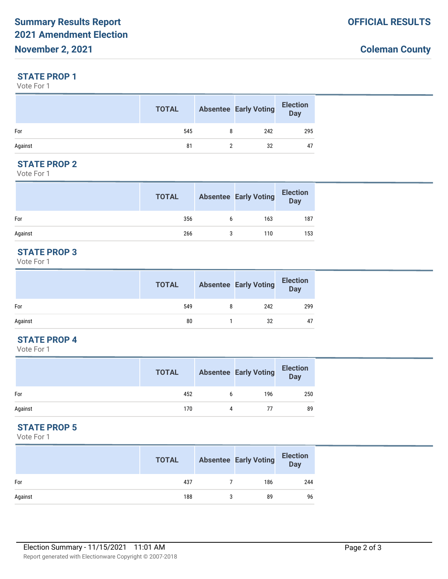#### **STATE PROP 1**

Vote For 1

|         | <b>TOTAL</b> | <b>Absentee Early Voting</b> | <b>Election</b><br>Day |
|---------|--------------|------------------------------|------------------------|
| For     | 545          | 242                          | 295                    |
| Against | 81           | 32                           | 47                     |

## **STATE PROP 2**

Vote For 1

|         | <b>TOTAL</b> |   | <b>Absentee Early Voting</b> | <b>Election</b><br><b>Day</b> |
|---------|--------------|---|------------------------------|-------------------------------|
| For     | 356          | 6 | 163                          | 187                           |
| Against | 266          |   | 110                          | 153                           |

#### **STATE PROP 3**

Vote For 1

|         | <b>TOTAL</b> |   | <b>Absentee Early Voting</b> | Election<br>Day |
|---------|--------------|---|------------------------------|-----------------|
| For     | 549          | 8 | 242                          | 299             |
| Against | 80           |   | 32                           | 47              |

## **STATE PROP 4**

Vote For 1

|         | <b>TOTAL</b> |   | <b>Absentee Early Voting</b> | <b>Election</b><br><b>Day</b> |
|---------|--------------|---|------------------------------|-------------------------------|
| For     | 452          | b | 196                          | 250                           |
| Against | 170          | 4 | 77                           | 89                            |

## **STATE PROP 5**

Vote For 1

|         | <b>TOTAL</b> |   | <b>Absentee Early Voting</b> | <b>Election</b><br><b>Day</b> |
|---------|--------------|---|------------------------------|-------------------------------|
| For     | 437          |   | 186                          | 244                           |
| Against | 188          | 3 | 89                           | 96                            |